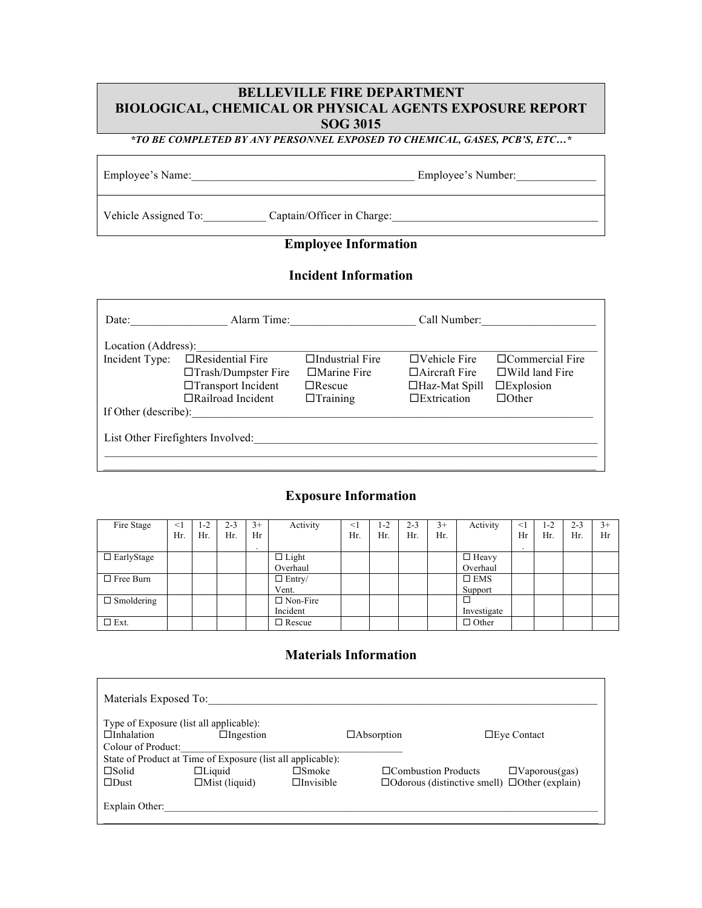# **BELLEVILLE FIRE DEPARTMENT BIOLOGICAL, CHEMICAL OR PHYSICAL AGENTS EXPOSURE REPORT SOG 3015**

*\*TO BE COMPLETED BY ANY PERSONNEL EXPOSED TO CHEMICAL, GASES, PCB'S, ETC…\**

Employee's Name:\_\_\_\_\_\_\_\_\_\_\_\_\_\_\_\_\_\_\_\_\_\_\_\_\_\_\_\_\_\_\_\_\_\_\_\_\_\_\_ Employee's Number:\_\_\_\_\_\_\_\_\_\_\_\_\_\_

Vehicle Assigned To: Captain/Officer in Charge:

# **Employee Information**

#### **Incident Information**

| Date:               | Alarm Time:                       | Call Number:           |                      |                        |  |  |
|---------------------|-----------------------------------|------------------------|----------------------|------------------------|--|--|
| Location (Address): |                                   |                        |                      |                        |  |  |
| Incident Type:      | $\Box$ Residential Fire           | $\Box$ Industrial Fire | $\Box$ Vehicle Fire  | $\Box$ Commercial Fire |  |  |
|                     | $\Box$ Trash/Dumpster Fire        | $\Box$ Marine Fire     | $\Box$ Aircraft Fire | $\Box$ Wild land Fire  |  |  |
|                     | $\Box$ Transport Incident         | $\Box$ Rescue          | $\Box$ Haz-Mat Spill | $\square$ Explosion    |  |  |
|                     | $\Box$ Railroad Incident          | $\Box$ Training        | $\Box$ Extrication   | $\Box$ Other           |  |  |
|                     |                                   |                        |                      |                        |  |  |
|                     |                                   |                        |                      |                        |  |  |
|                     | List Other Firefighters Involved: |                        |                      |                        |  |  |
|                     |                                   |                        |                      |                        |  |  |

# **Exposure Information**

| Fire Stage        | $<$ 1<br>Hr. | $-2$<br>Hr. | $2 - 3$<br>Hr. | $3+$<br>Hr<br>$\cdot$ | Activity                 | $<$ 1<br>Hr. | $1 - 2$<br>Hr. | $2 - 3$<br>Hr. | $3+$<br>Hr. | Activity                 | $<$ 1<br>Hr<br>$\overline{\phantom{a}}$ | 1-2<br>Hr. | $2 - 3$<br>Hr. | $3+$<br>Hr |
|-------------------|--------------|-------------|----------------|-----------------------|--------------------------|--------------|----------------|----------------|-------------|--------------------------|-----------------------------------------|------------|----------------|------------|
| $\Box$ EarlyStage |              |             |                |                       | $\Box$ Light<br>Overhaul |              |                |                |             | $\Box$ Heavy<br>Overhaul |                                         |            |                |            |
| $\Box$ Free Burn  |              |             |                |                       | $\Box$ Entry/            |              |                |                |             | $\square$ EMS            |                                         |            |                |            |
|                   |              |             |                |                       | Vent.                    |              |                |                |             | Support                  |                                         |            |                |            |
| $\Box$ Smoldering |              |             |                |                       | $\Box$ Non-Fire          |              |                |                |             |                          |                                         |            |                |            |
|                   |              |             |                |                       | Incident                 |              |                |                |             | Investigate              |                                         |            |                |            |
| $\Box$ Ext.       |              |             |                |                       | $\Box$ Rescue            |              |                |                |             | $\Box$ Other             |                                         |            |                |            |

#### **Materials Information**

| Materials Exposed To: |                                                             |                  |                   |                                                           |                       |
|-----------------------|-------------------------------------------------------------|------------------|-------------------|-----------------------------------------------------------|-----------------------|
|                       | Type of Exposure (list all applicable):                     |                  |                   |                                                           |                       |
| $\Box$ Inhalation     | $\Box$ Ingestion                                            |                  | $\Box$ Absorption |                                                           | $\square$ Eye Contact |
| Colour of Product:    |                                                             |                  |                   |                                                           |                       |
|                       | State of Product at Time of Exposure (list all applicable): |                  |                   |                                                           |                       |
| $\square$ Solid       | $\Box$ Liquid                                               | $\square$ Smoke  |                   | $\Box$ Combustion Products                                | $\Box$ Vaporous(gas)  |
| $\square$ Dust        | $\Box$ Mist (liquid)                                        | $\Box$ Invisible |                   | $\Box$ Odorous (distinctive smell) $\Box$ Other (explain) |                       |
| Explain Other:        |                                                             |                  |                   |                                                           |                       |